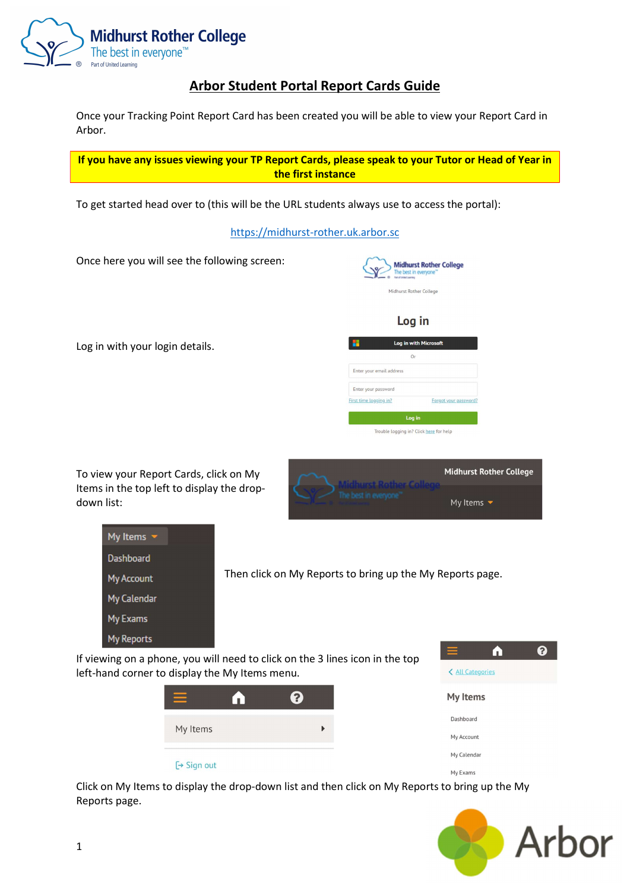

## Arbor Student Portal Report Cards Guide

Once your Tracking Point Report Card has been created you will be able to view your Report Card in Arbor.

If you have any issues viewing your TP Report Cards, please speak to your Tutor or Head of Year in the first instance

To get started head over to (this will be the URL students always use to access the portal):

https://midhurst-rother.uk.arbor.sc

Once here you will see the following screen:

Log in with your login details.

| Part of United Learning  | <b>Midhurst Rother College</b><br>The best in everyone" |
|--------------------------|---------------------------------------------------------|
| Midhurst Rother College  |                                                         |
|                          |                                                         |
| Log in                   |                                                         |
|                          | Log in with Microsoft                                   |
| Or                       |                                                         |
| Enter your email address |                                                         |
| Enter your password      |                                                         |
| First time logging in?   | Forgot your password?                                   |
| Log in                   |                                                         |

Trouble logging in? Click here for help

To view your Report Cards, click on My Items in the top left to display the dropdown list:

|                       | Aidhurst Rother Colle          | <b>Midhurst Rother College</b> |
|-----------------------|--------------------------------|--------------------------------|
| <b>A MASTER PARTY</b> | My Items $\blacktriangleright$ |                                |

| My Items $\sim$   |                                                           |
|-------------------|-----------------------------------------------------------|
| <b>Dashboard</b>  |                                                           |
| My Account        | Then click on My Reports to bring up the My Reports page. |
| My Calendar       |                                                           |
| My Exams          |                                                           |
| <b>My Reports</b> | $\sim$                                                    |

If viewing on a phone, you will need to click on the 3 lines icon in the top left-hand corner to display the My Items menu.





Click on My Items to display the drop-down list and then click on My Reports to bring up the My Reports page.